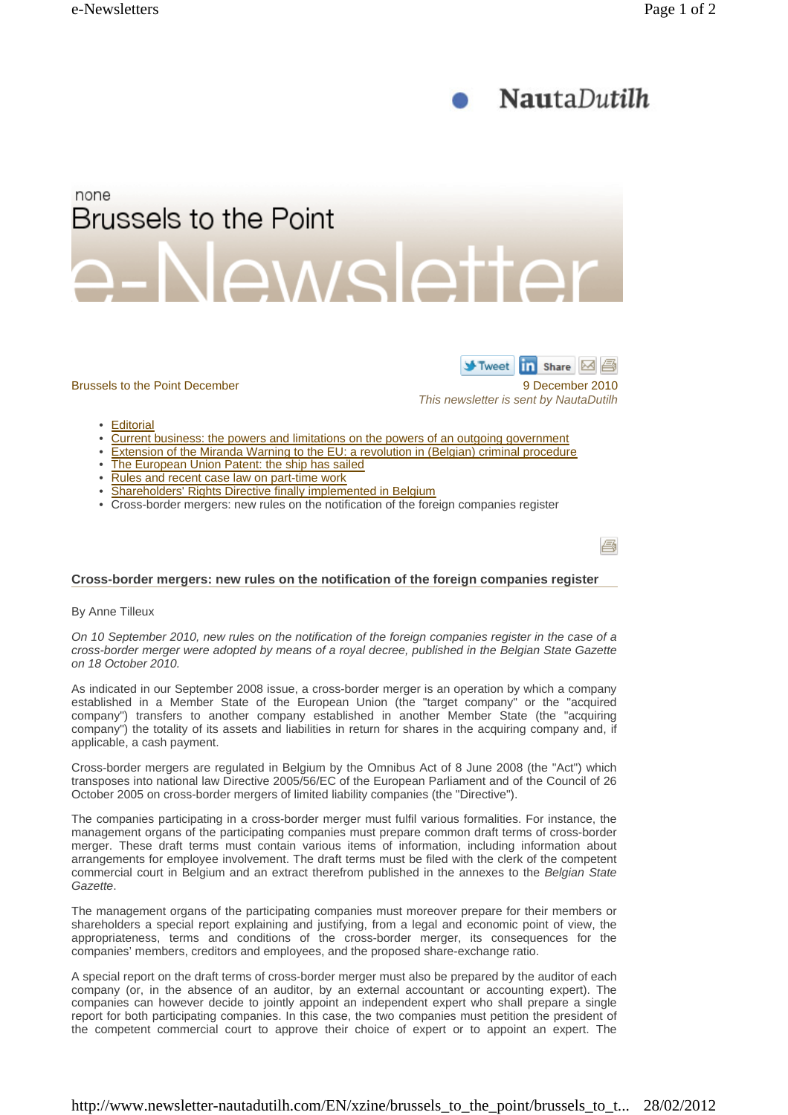



- 
- Rules and recent case law on part-time work • Shareholders' Rights Directive finally implemented in Belgium
- 
- Cross-border mergers: new rules on the notification of the foreign companies register

承

## **Cross-border mergers: new rules on the notification of the foreign companies register**

By Anne Tilleux

*On 10 September 2010, new rules on the notification of the foreign companies register in the case of a cross-border merger were adopted by means of a royal decree, published in the Belgian State Gazette on 18 October 2010.* 

As indicated in our September 2008 issue, a cross-border merger is an operation by which a company established in a Member State of the European Union (the "target company" or the "acquired company") transfers to another company established in another Member State (the "acquiring company") the totality of its assets and liabilities in return for shares in the acquiring company and, if applicable, a cash payment.

Cross-border mergers are regulated in Belgium by the Omnibus Act of 8 June 2008 (the "Act") which transposes into national law Directive 2005/56/EC of the European Parliament and of the Council of 26 October 2005 on cross-border mergers of limited liability companies (the "Directive").

The companies participating in a cross-border merger must fulfil various formalities. For instance, the management organs of the participating companies must prepare common draft terms of cross-border merger. These draft terms must contain various items of information, including information about arrangements for employee involvement. The draft terms must be filed with the clerk of the competent commercial court in Belgium and an extract therefrom published in the annexes to the *Belgian State Gazette*.

The management organs of the participating companies must moreover prepare for their members or shareholders a special report explaining and justifying, from a legal and economic point of view, the appropriateness, terms and conditions of the cross-border merger, its consequences for the companies' members, creditors and employees, and the proposed share-exchange ratio.

A special report on the draft terms of cross-border merger must also be prepared by the auditor of each company (or, in the absence of an auditor, by an external accountant or accounting expert). The companies can however decide to jointly appoint an independent expert who shall prepare a single report for both participating companies. In this case, the two companies must petition the president of the competent commercial court to approve their choice of expert or to appoint an expert. The